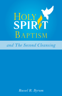

and The Second Cleansing

Russel R. Byrum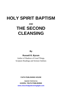# **HOLY SPIRIT BAPTISM**

## **AND**

# **THE SECOND CLEANSING**

## **By**

## **Russell R. Byrum**

Author of Shadows of Good Things, Scripture Readings and Sermon Outlines

**FAITH PUBLISHING HOUSE**

*Digitally Published by*  **GOSPEL TRUTH PUBLISHING <www.churchofgodeveninglight.com>**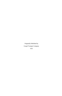Originally Published by Gospel Trumpet Company 1923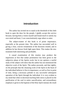## **Introduction**

The author has invited me to stand at the threshold of this little book to open the door for the people. I gladly accept this service because, having been a visitor myself and found much to satisfy my own mind and heart, I can conscientiously urge others to enter.

The subject-matter of this book is of prime importance, especially at the present time. The author has succeeded well in giving a clear, concise restatement of the doctrines treated, and in addition he has thrown fresh light upon them. This makes the new treatment both interesting and profitable.

A casual examination of this treatise may produce the impression at first that undue prominence has been given to the subjective phase of the Spirits work; but in my opinion a careful study of the subject will show that the author has not minimized the objective work of the Spirit. The author proceeds, and that rightly, on the principle that the cleansing work of the Spirit in the heart of the individual believer is first in importance, as well as first in point of time, being a necessary prelude to any successful subsequent operation of the Spirit through the individual. It is very evident to my mind that when in doctrinal teaching little stress is placed on the purification of the soul in entire sanctification, and extraordinary emphasis is given to the baptism of the Holy Spirit instead, the result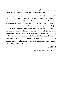is always superficial, ofttimes even deceptive and dangerous. "Blessed are the pure in heart; for they shall see God."

Salvation results from the work which Christ performed for man; but it is faith in Christ and in his atonement that makes his work effective in man. The individual is not saved until the work of redemption is wrought in him; therefore the divinely appointed cure for sin becomes to us a matter of first concern, and theological inquiry is the legitimate and natural result. The sincere mind cannot rest until convinced that it has found the truth. It is to the Bible that we must turn for an authoritative statement of truth and for full light on God's plan of salvation. Holy Spirit Baptism and the Second Cleansing presents the clearest statement of this important, fundamental truth I have ever found in so small a compass. I am sure it will supply a real need.

F. G. SMITH.

Anderson, Ind., Feb. 16, 1923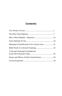## **Contents**

| Meaning of Sanctification in Its Various Uses31 |  |
|-------------------------------------------------|--|
|                                                 |  |
| A Second Cleansing Foreshadowed                 |  |
|                                                 |  |
|                                                 |  |
|                                                 |  |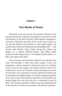## **Chapter I**

## <span id="page-8-0"></span>**Two Works of Grace**

Thousands of the most devout and spiritual Christians of the past and present have testified to and taught an experience of entire sanctification of the heart and Holy Ghost baptism subsequent to conversion. And these advocates of this second work of grace are not only the illiterate and uncritical as some might suppose, but include some of the most learned and discriminating minds — John Wesley, John Fletcher, Adam Clarke, George Fox, Hester Ann Rogers, D. S. Warner, Richard Watson, John Miley, Minor Raymond, Field, Bishop Foster, A. B. Simpson, Daniel Steele, J. A. Beet, and a great many others.

These witnesses testify that this experience has afforded them many rich blessings—a deep inner peace, greater victory over temptations, a greater measure of Holy Ghost power for Christian service, more joy and comfort, and a fuller measure of divine love in their hearts. Every true Christian is always reaching out for more of God's grace, love, and power in his life, and desires to please God by attaining to the highest degree of Christian experience possible. If he sees by God's Word and the experiences of his brethren that greater things from God await him, he is constrained to seek for them. The Christian experience of others may not be absolute proof of this doctrine, nor that we may possess a like blessed experience;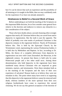but if it can be shown that such an experience and the possibility of all attaining to it is taught in the Bible, then we may confidently seek for the experience if we have not already attained it.

## **Hindrances to Belief in a Second Work of Grace**

Before undertaking to set forth the teaching of the Scriptures on this important Bible doctrine, let us first consider some general facts relative to the doctrine and endeavor to remove any obstacles to a fair consideration of the subject.

Those who have doubts about a second cleansing often wrongly suppose that nearly all Christians believe they are saved from native depravity in regeneration. But the truth is just the opposite. The belief of probably over nine tenths of professed Christians is that depravity remains in the regenerate believer. Nearly all Protestants believe this. This is held by the Episcopal Church; by the Westminster creed, representing the various Presbyterian bodies; it is held also by Methodists and Baptists. In fact, according to Dr. Miley, the theory of a complete deliverance from depravity in regeneration was new with Count Zinzendorf, the Moravian, in the eighteenth century. At present that theory is held only by some Pentecostal people and a few other small sects. Among those denominations who hold depravity in the regenerate have been numbered many devout Christians who are respected as great ministers, martyrs, and missionaries. Were these mistaken both as to the teaching of the Scriptures and the facts of their own experience of salvation? Reason leads us to believe they were not mistaken in this. The point where many have erred is in supposing that this depravity in the regenerate believer cannot be removed until death, whereas numbers of the more spiritual from their own religious brotherhoods have come to experience this second cleansing. We do not say this general acceptance of the doctrine of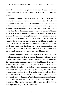depravity in believers is proof of it, but it does show the unreasonableness of questioning the doctrine on the ground that few hold it.

Another hindrance to the acceptance of the doctrine are the unwise attempts to support it by unsound argument and texts that do not apply to the subject. But it is unreasonable to reject a doctrine on this ground when other sound proofs of it can be given. In rejecting the unsound supports of it one should not make the mistake of rejecting the doctrine itself. Such would be as unreasonable as it would be to reject the idea of God's existence simply because certain teachers of theism have attempted to prove it by what is known as the ontological argument, which many able thinkers consider no proof whatever of the existence of God. Is it not better to believe in the divine existence, sanctification, and every other Bible truth for which clear proofs exist than to get our eyes on the unsound supports of them to such an extent that we are hindered from embracing truths that so nearly concern our present and eternal happiness?

Another thing that seems to have prejudiced some very good people against sanctification is the fact that some professors of the experience have been known to live ungodly and disgraceful lives. It is regrettable that such persons do put a stumblingblock in the way of good people's accepting this glorious truth. Yet it is not reasonable to give place to prejudice because of such persons. As well might one reject the teaching and reality of regeneration because many profess it and live sinful lives, though the Bible plainly teaches that "whosoever is born of God [regeneration] doth not commit sin." (1 John 3:9). We believe in regeneration because it is clearly set forth in the Bible, and many actually have the experience. May we not as reasonably accept sanctification on similar grounds in spite of false professors?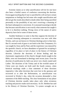Extreme claims as to what sanctification will do for one have also been a fruitful source of confusion concerning the doctrine. Extravagant teaching that if one is sanctified he will not have certain temptations or feelings has led some who sought sanctification and did not get the results described to doubt either their being sanctified personally or the possibility of any one's receiving a cleansing of the heart subsequent to conversion. It is unsound reasoning to decide that because sanctification is not exactly what someone has taught it to be it is therefore nothing. Wrong views of the nature of native depravity have led to some of these errors.

Another hindrance to some is that they suppose the doctrine of a second cleansing subsequent to conversion was new with John Wesley, and was not known to Christian theology prior to that time. But if a second work of grace is set forth in the New Testament, if it was taught by Jesus and by Paul, and the experience was enjoyed by the apostolic church, we have abundance of ground for accepting it regardless of its place or lack of place in the history of Christian doctrine. Likewise the doctrines of divine healing and the charismatic organization of the church, though clearly taught in the Bible, were not formulated in theology until recent years. Even the doctrine of justification by faith was never very clearly stated until Luther. The doctrines of the Trinity and of the twofold nature of Christ were not clearly set forth until the fourth century, when heretical teachings made a clear statement of these doctrines imperative. Like other doctrines that were lost in the apostasy and recovered at or after the Reformation, so sanctification was recovered in Wesley's day, when the occasion demanded a clear statement of the Bible teaching. The clear formulation of any phase of Christian doctrine usually takes place only when erroneous teaching and practice make such necessary. As Dr. Sheldon has said in his History of Christian Doctrine, "A system wrought out in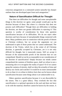conscious antagonism to a contrasted system naturally has sharper outlines than one developed apart from such antagonism."

## **Nature of Sanctification Difficult for Thought**

That there are difficulties for thought and some unexplainable things in this doctrine we agree; some people would give up the doctrine because of these. But where is a doctrine that does not possess such difficulties? Though there are difficulties in holding the doctrine, are there not greater difficulties in rejecting it? This question is worthy of consideration by those who question sanctification because of its difficulties. We do not reject other doctrines and facts because of unexplainable things connected with them. Many problems arise in connection with the proofs of theism or Christian evidence, but we accept the arguments we can understand in spite of those points that we cannot understand. The doctrine of the Trinity, which lies at the center of all Christian doctrine, is generally accepted by Christians, yet it is not only difficult for thought, but it transcends reason. Still we accept it because of the unanswerable proofs of the doctrine that we can comprehend. Should we not be as reasonable in our consideration of the doctrine of sanctification? Simply because our minds cannot comprehend the vastness of limitless space, shall we refuse to use a measuring rule or to recognize the reality of space? Or if we cannot grasp the vastness of eternity, shall we deny the actuality of time and destroy our clocks and watches? It would be no more unreasonable to do so than it is to refuse to believe facts that can be known about sanctification because some things about it are unknowable to us.

Others question sanctification because it is not discernible by the senses. This is a great fallacy. They overlook the fact that sanctification is a spiritual operation in the soul and does not have to do with the material, therefore cannot be known by the senses. A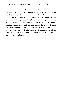thought is somewhat parallel to this in that it is a spiritual operation. But what is thought? How is it effected? We do not know; psychologists cannot tell. All they can know about it is the phenomena of it. So likewise it is not possible to explain exactly what sanctification is. We know in experience the phenomena of a depraved nature. After sanctification we know by experience the phenomena resulting from a pure heart. So also it is in the new birth. Jesus answered this objection hundreds of years ago in these words: "The wind bloweth where it listeth, thou hearest the sound thereof, but canst not tell whence it cometh, nor whither it goeth; so is every one that is born of the Spirit."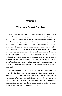## **Chapter II**

## <span id="page-14-0"></span>**The Holy Ghost Baptism**

The Bible teaches, not only two works of grace—the first commonly described as conversion, and the second a later special work of God in the heart—but it also clearly teaches a double phase of each of these experiences. The first work, conversion, includes both justification and regeneration, which are different in their very nature though both are received at the same time. These will be described more fully in a later chapter. The second work includes, not only a perfect cleansing of the heart from inherited depravity, but also the baptism of the Holy Ghost. Inasmuch as the Holy Ghost baptism is especially important in this second work and is held up by Jesus and the apostles as being necessary to the highest success in the Christian life, it is proper that it should be given consideration here before the cleansing phase of the second work of grace is described.

Those opposed to the doctrine of a second work too often overlook the fact that in rejecting it *they reject, not only sanctification, but also the Holy Spirit baptism* as subsequent to conversion. When they say and attempt to show by the Bible that they "got it all at once," they must show they received not only entire sanctification, but also the Holy Ghost baptism, failure to show which makes their position doubly unscriptural.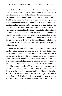Only those who have received the blessed Holy Spirit of God into their hearts, the abiding Comforter, can know the sweetness of closest communion with God and the greatest measure of the joy of his presence. When God created man, he purposely made his shoulders too narrow to bear the burdens of life alone, and his wisdom too limited to know of himself what way he should take. God intended that men should be dependent upon him. He knew this very feeling of dependence on him would cause them to find the blessedness of trusting him. He made a place in their hearts that he alone can fill, and created a longing there that only his indwelling presence can satisfy. In his very nature man is incomplete without God much as the man is incomplete without the woman. Through sin, mankind has been deprived of the indwelling divine Spirit; but, thank God, in the full salvation which Jesus provides the Spirit is again restored.

Jesus and the apostles give much importance to the baptism of the Holy Ghost and urge the disciples to receive him. In that great discourse recorded in John 13-17, given on the solemn occasion of the last supper, Jesus sought to encourage those he was about to leave by the promise of the Comforter whom he would send to them. Also when the apostle Paul came to Ephesus, the first question he asked of the twelve disciples he found was, "Have ye received the Holy Ghost since ye believed?" It was also the important thing in the visit of Peter and John to the newly established church in Samaria, in the visit of Ananias to Paul, and of Peter to Cornelius. And, reader, if you are a child of God and have not yet been baptized by the Spirit of God, it is of much concern to God that now, as you read, you open your heart's door for him to come in and abide there.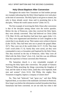## **Holy Ghost Baptism After Conversion**

Throughout the entire New Testament we find neither precept nor example indicating that the Holy Ghost baptism ever took place at the time of conversion. The Holy Spirit is not given to sinners, but only to those already saved. Jesus said in promising him to his disciples, "Whom the world cannot receive" (John 14:17).

The first example of receiving the Holy Ghost after conversion is that of the disciples among whom were the twelve apostles. Before the day of Pentecost, when they received the Holy Spirit, they were already converted. They had believed on Christ (John 17:8; Matt 16:16), and therefore had been born again (John 1:12, 13). They were regenerated and therefore in God's kingdom to the extent that it was already set up. Their names were written in heaven (Luke 10:20). They had been sent out to preach the gospel (Matt. 10:7). They were not of the world (John 14:17; 15:19). They kept God's word (John 17; 6). Surely they were saved, yet they were commanded to tarry at Jerusalem until baptized by the Holy Ghost. This they received on the day of Pentecost, when "they were all filled with the Holy Ghost" (Acts 2:4). And this was not different from the experience of those converted after Pentecost.

The Samaritan church is a very remarkable example of receiving the Holy Spirit after conversion. The people of Samaria "believed Philip preaching the things concerning the kingdom of God, and the name of Jesus Christ, [and] they were baptized, both men and women" (Acts 8:12). Did Philip, this mighty New Testament evangelist, baptize a company of sinners here?

No. They had "believed," had "great joy," and then Philip baptized them, as was done to the multitude converted on Pentecost. How long it was before the information reached Jerusalem that these Samaritans had been converted, we are not told; but when it did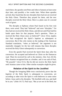reach there, the apostles sent Peter and John to Samaria at least some days later, and possibly a few weeks later. When these apostles arrived, they found that the new disciples there had not yet received the Holy Ghost. Therefore they prayed for them, and the new disciples received the Holy Ghost. Here is a plain case of a second work of grace.

The disciples at Ephesus whom Paul found on his first visit there, were saved. They had "believed" and were "disciples." Yet they had not received the Holy Ghost, and did not until Paul laid his hands upon them for that purpose. Paul's question, "Have ye received the Holy Ghost since ye believed?" (Acts 19:2), implies that Paul recognized the Spirit's baptism as subsequent to conversion. But if the critic insists on the reading of the American Standard translation, "when ye believed," the argument is not materially changed; for the fact still remains that these disciples received the Holy Ghost subsequently to conversion.

Even the apostle Paul received the Spirit three days after his conversion. He accepted and believed on Christ on the Damascus road. There he received his call to the ministry. (See Acts 26:16). Also Ananias recognized him as a brother, and it was said of Paul, "He prayeth." (Acts 9:11). But he did not receive the Holy Spirit until Ananias came to him. Other similar examples might be given.

#### **Relation of the Spirit to the Justified**

Though the foregoing Bible texts conclusively prove that the *baptism* of the Holy Spirit is subsequent to conversion, yet according to other texts the Spirit is with believers in some sense before. Jesus said to his disciples, "He dwelleth with you, and shall be in you." (John 14:17). Paul says, "But ye are not in the flesh, but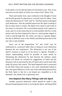in the Spirit, if so be that the Spirit of God dwell in you. Now if any man have not the Spirit of Christ, he is none of his" (Rom. 8:9).

These and similar texts cause confusion in the thought of some and furnish ground for objection to a second work for others. Jesus makes the distinction of "with" and "in," but Paul seems to disregard such distinction. That the justified person has the Spirit working in him in some sense is certain. The Spirit even comes to and works in the sinner in conviction. He is everywhere present in his capacity to work, and it is in this sense that he is in the justified. But he is in the person who has been baptized by him in a much greater degree to work in and through him. He works, not only in a greater degree, but also in different ways in the wholly sanctified person than in the one who is only justified.

Jesus' use of the prepositions "in" and "with" may be understood as a practical rather than as being an exact distinction between the two experiences. The distinction is not one of the Spirit's location so much as of his power to operate. Probably a clearer understanding would be possible to some minds by illustrating this distinction by that between the ordinary sinner whose evil deeds are actuated by suggestions of Satan and the demoniac who is *possessed* by the evil spirit and is much more fully under his power and control. The Spirit-baptized saint is *possessed* by the Holy Ghost and sustains a very close relationship indeed to him. One great difference in the case of the individual possessed by the Holy Spirit is that he is not bound nor compelled as is the demoniac, but, thank God, is gloriously free.

#### **One Baptism But Many Fillings with the Spirit**

Another practical distinction which should be made is that between being baptized with or receiving the Spirit, and being filled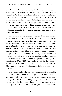with the Spirit. If one receives the Spirit, there need not be any repetition of it; because if he lives right, the Spirit remains in him constantly. But there will be times when he will need and should have fresh anointings of the Spirit for particular services or circumstances. This being filled with the Spirit does not mean that one receives a greater measure of the Spirit himself, who is a person, but a greater measure of his working. One may or may not receive this fuller measure of the working of the Spirit at the time of the baptism by the Spirit. The apostles at Pentecost received it then and also at later times.

One remarkable instance of the reception of this fuller measure of the working of the Spirit was when the apostles on a certain occasion were persecuted and threatened. They prayed, and "the place was shaken; . . . and they were all filled with the Holy Ghost" (Acts 4:31). Now we know these apostles received and also were filled with the Holy Ghost at Pentecost. But this special occasion required another special filling of the Spirit or mighty working of the Spirit in them. This anointing was for the purpose of giving them boldness to preach in the face of persecution. Stephen was filled with the Holy Ghost at the time of his martyrdom that he might have grace to suffer (Acts 7:55). Paul was filled with the Holy Ghost to rebuke Elymas the Sorcerer and strike him blind (Acts 13:9, 10). Elizabeth and others were filled to praise God and prophesy (Luke 1:41, 67).

Every person today who has been much used of God is familiar with these special fillings of the Spirit. Often the preacher is temporarily filled with the Spirit for the preaching of God's message. Sometimes it is for the praying of the prayer of faith for the healing of the sick, the carrying on of a revival meeting, or the winning of a soul to Christ. Every spiritual person should experience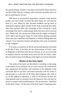the special fillings. Reader, if you have received the Spirit, but have not been filled with his working, seek God more earnestly until you get an anointing for service.

This point is of practical importance, because some sincere people who have really received the Holy Spirit yet who feel the need of a new filling by him, become troubled, and go back to seeking the baptism again instead of the fresh anointing they need. Also false teachers often take advantage of this craving for a fresh anointing of the Spirit to make people think they have never received him. Thank God, you can become filled with the mighty working of God's Spirit and do great things for God without getting confused about your past experience and baptism, or without falling under the "power" in an unseemly manner and getting what some are pleased to call "tongues."

If we pray as earnestly as did the persecuted apostles described in the 4th of Acts, if we labor for the advancement of God's cause as diligently as did Paul when he met Elymas, if we are as devoted as Stephen when he was about to lay down his life for Christ's sake, then we shall receive fresh fillings of the Spirit as occasion demands.

#### **Works of the Holy Spirit**

The works of the Spirit are described as including a wide range in the matter of our salvation. He it is who convicts the sinner of his sins, regenerates the penitent, and witnesses to the adoption of the converted. But we are here concerned especially with his works *in* and *through* us at the time of the Holy Spirit baptism. His work *in* us, or the subjective operation, is alike in all because all have the same general need of salvation from the depravity that will later be shown to remain in the justified person. We are therefore "sanctified by the Holy Ghost." At the time of the Holy Spirit's baptizing men,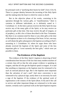his principal work is "purifying their hearts by faith" (Acts 15:8, 9). There is a proper identity between the incoming of the *Holy* Spirit and the making *holy* the heart in which he comes to dwell.

But in the *objective* phase of his works, consisting in his operation through his various gifts, or "manifestations," there is variation in different individuals, as is definitely stated in 1 Corinthians 12. At the time a person receives the Holy Spirit he may receive any of the many gifts of the Spirit, or he may receive no particular gift at that time. One may receive the gift of tongues, or of prophecy, as did a few of those described in the New Testament. But there is no common need for these or any other gifts at the time of the baptism as there is of a cleansing of the heart. In fact, one may as well obtain the gifts subsequent to the baptism according to Paul's reasoning in 1 Corinthians 14, where he urges those who have already received the baptism of the Spirit and some of the less important gifts to "covet earnestly the best gifts," which were yet possible to them.

#### **The Evidence of the Baptism**

The evidence of the Holy Spirit's baptism is deserving of brief consideration here because of the fact that many modern teachers of a certain class tell us that the only proper evidence is speaking in tongues, and that all who get the baptism speak in tongues. It is said that anything so important as the baptism must be witnessed to by such an outward physical sign. But is the baptism more important than the salvation of one's soul? And since conversion is not witnessed to by a physical sign, surely there is no necessity for such a sign of the baptism. If the evidence of the spiritual work of regeneration is the witness of the Spirit (Rom. 8:16) and if the call to service and other important things are witnessed to in the same manner, certainly such a spiritual work as the Spirit baptism requires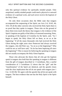only this spiritual evidence for spiritually minded people. Only unspiritual, earthly minded people could need a physical or outward evidence of a spiritual work, and such never receive the baptism of the Holy Ghost.

On only three occasions does the Bible state that tongues accompanied the outpouring of the Spirit; see Acts 2:4; 10:45, 46; 19:6. Of all the other converts who received the Holy Spirit there is no proof that they spoke in tongues. Those who on the ground of these three texts teach the theory that tongues is *the* evidence of the Spirit's baptism are guilty of the fallacy of unsound reasoning. Peter, in speaking of the baptism of Cornelius by the Spirit, said, "As I began to speak, the Holy Ghost fell on them, as on us at the beginning." If all the many thousands who had received the Holy Ghost during the eight years since Pentecost had always received the tongues, why did Peter say, "As on us at the beginning"? Why could he not as well have said, "As he has been baptizing all since the beginning"? This is reason for believing the speaking in tongues did not usually accompany the Holy Ghost baptism.

Those who advocate the theory that all who get the baptism speak in tongues also hold that this speaking in tongues is different from the gift of tongues described in 1 Corinthians. But a careful consideration of 1 Corinthians 12 shows that the "gift" and the "manifestation" of the Spirit are identical, and the apostle closes with the clear implication that all do not speak with tongues (see 1) Cor. 12:28-30). We agree with the apostle that all do not speak with tongues. The best evidence that one has the Holy Spirit is the Spirit himself.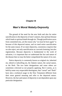## **Chapter III**

## <span id="page-23-0"></span>**Man's Moral Malady-Depravity**

The ground of the need for the new birth and also for entire sanctification is the depravity of men's natures, that spiritual disease which leads to spiritual death through sin. Though justification saves from committed sins, yet the reason why "ye must be born again" is because of this depraved nature, and we need entire sanctification for the same reason. If we reject depravity, consistency requires that we also reject, not only sanctification as a second cleansing, but also regeneration. Because depravity is fundamental to the work of salvation, it is important that we understand the fact and nature of the disease that we may the better comprehend the nature of its cure.

Native depravity is commonly known as original sin, inherited sin, inbred or indwelling sin, the Adamic nature, the carnal nature, or the flesh. The two latter designations and some others are sometimes criticized as not properly applying. But it seems, as is held by some very respectable theologians, that "carnal" and "flesh" have also a technical usage in the New Testament different from their more general meaning and refer to the depraved nature. However, the fact and nature of depravity is not dependent upon any particular designation.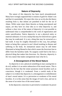### **Nature of Depravity**

The nature of this depravity has been much misunderstood. Many have wrongly supposed that it consists of guilt for Adam's sin and that it is punishable. We reject this view as we do also the theory resulting from it, that infants are punished in hell for the sin of Adam. While some reject these theories as being unscriptural and unjust, yet they have no clear idea as to what depravity is; and without a clear view of the nature of depravity it is not possible to understand what is comprehended in the work of regeneration and entire sanctification. Native depravity is not a physical entity or material substance. It is not a stump that may be removed nor a germ that may be eradicated. It is not a thing that may be extracted as a bad tooth. It may be roughly illustrated in this way, but perhaps better as being like a poison in one's blood resulting in disease and suffering in the body. Its immaterial nature may be still better illustrated as being likened to that which causes the ferocious lion to differ from the harmless lamb. No surgeon could find in the lion a physical thing that makes him ferocious. So, likewise, depravity is the very nature that makes unregenerate man what he is.

#### **A Derangement of the Moral Nature**

As depravity is not a physical something in man causing him to do evil, neither is it an entire subtraction of his moral nature. This is shown by the fact that the sinner possesses moral faculties such as conscience, though it is weakened. From a careful study of the subject it is evident that depravity is a derangement or enfeeblement of man's moral nature. It is a perversion or weakness of his moral faculties. It is in this sense that the image of God is lost, and not in the sense of an entire loss of the moral nature.

In the depraved, conscience is perverted or weakened. Its power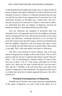to discriminate between right and wrong is lost, to a great extent. Its power to impel to the right is weakened, so it fails to function as God intended. Its power to reprove is weakened insomuch that one may sin and feel very little if any compunction of conscience for it. The conscience becomes, as the Bible says, "seared with a hot iron." Because the power of conscience is weaker in some than in others, we understand that there are degrees of depravity and that the hardened criminal is more depraved than the little child.

Also the affections are alienated or perverted. Man was intended to love God supremely and to love his neighbor as himself, which is keeping all God's law. But by the perversion of this moral faculty, the affections, commonly referred to as an evil heart, he loves the creature more than the Creator, and he loves himself more than his neighbor. Depravity is the one reason why there is more love for things and self rather than for God and others. Man's heart is not right. This is why man needs a new heart, or affections.

The will is also enslaved in moral volitions. One in sin may desire to do good, but is unable. In the words of Paul, "For to will is present with me; but how to perform that which is good I find not" (Rom. 7:18). In describing his condition before he found Christ, Paul says, in Rom. 7:14, 15: "I am carnal, sold under sin. For that which I do I allow not: for what I would, that do I not: but what I hate, that do I." Probably in the will more than in any other of his faculties is depravity in man manifested. The depravity of the will is so evident that some have wrongly supposed that man's free will is entirely lost.

#### **Practical Consequences of Depravity**

Probably one of the best ways to get a practical comprehension of the nature of depravity is to take a look at the effects of it in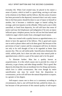everyday life. When God created man, he placed in his nature a sense of justice, which in itself is a good thing, serving to aid man in his relations to his Maker and his fellows. But this sense of justice has been perverted in the depraved, insomuch that it not only causes him to feel that justice should be done in case of injury to himself or another, but it becomes a vindictive anger or hatred calling for revenge, and even injustice on the offender. When such a one is fully sanctified, or freed from depravity, he will still have that sense of justice and may feel displeasure and indignation if he sees an injury inflicted upon a helpless person, but he will not feel that hatred and vindictive anger which results from a deranged moral nature.

Man was created with a quality known as approbativeness, or a desire to have the approval of his fellows. This is good and causes one to seek to please others and to do them good. But because of the perversion of man's nature and his consequent self-love, he desires not only to be well thought of but to be regarded as better than anyone else. This we call sinful pride. Sanctification eliminates this sinful, selfish pride, but it does not take away that natural pride or approbativeness which is a part of his nature and is for his good.

To illustrate further: Man has a quality known as acquisitiveness. It is this which causes one to provide for a time of adversity, to get a home, and other things needful. This is good. But depravity develops this into an inordinate love for *things* and money, which love is called covetousness. But even though by entire sanctification one may be saved from the disposition to covetousness, yet he will still have the natural disposition to acquire, in a greater or less degree.

Self-respect causes one to dress as is customary according to circumstances, that is, one will brush his hair, polish his shoes, etc.; but because of the perversion of this natural quality of self-respect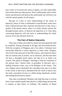man comes to be proud and wants to appear, not only respectable, but as better than any other person. This is selfish pride, and is sinful. Entire sanctification will destroy this sinful pride, but will leave one with the natural quality of self-respect.

Because of a lack of clear understanding of the nature of depravity, hence of what is eliminated in sanctification, many have been confused because they expected sanctification to take away a quality of the human nature, when it in reality merely restores the deranged human nature, or destroys the depravity in it. Clear ideas concerning depravity will aid much in understanding the whole process of sin and salvation from sin.

#### **The Fact of Native Depravity**

That man is fallen and sinful by nature has been generally held by mankind. Among all people in all ages men have believed this. With the exception of Pelagians and a few others, Christians have universally believed in native depravity in some sense. Pelagius, who lived in the early part of the fifth century, advocated the theory that sin consists only in actions, not in character, and that man does not have a deranged moral nature, but that he is as Adam was created. This phase of Pelagius' teachings is held by Unitarians of the present time. Charles Eliot, ex-president of Harvard, and a leading Unitarian writer, says in his Religion of the Future, "The new religion rejects absolutely the conception that man is an alien in the world, or that God is alienated from the world. It rejects also the entire conception of man as a fallen being, hopelessly wicked, and tending downward by nature."

That class of professed Christians who hold that man is evolved from a lower animal usually deny that he is a fallen being, because this is contrary to their theory of evolution. The tendency of liberal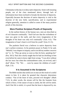Christianity in this day is to deny native depravity. Some well-meaning people, not of the class mentioned above, through lack of information have been inclined to forsake the doctrine of depravity. Especially because the doctrine of native depravity is vital to the doctrine of the new birth, sanctification, and to experimental religion generally, attention is called to some of the many positive proofs of this doctrine.

#### **More Positive Scripture Proofs of Depravity**

In the earliest history of the human race, men are described as of evil character continually. "And God saw that the wickedness of man was great in the earth, and that every imagination of the thoughts of his heart was only evil continually" (Gen. 6:5). "The imagination of man's heart is evil from his youth" (Gen. 8: 21).

The psalmist David was a believer in native depravity from one's earliest existence. In his penitent prayer in Psalm 51 he said, "Behold, I was shapen in iniquity; and in sin did my mother conceive me" (v. 5). "They go astray as soon as they be born, speaking lies" (Psa. 58:3). Paul also clearly taught that he had sin dwelling in him even before he came to know right from wrong. "I was alive without the law once: but when the commandment came, sin revived, and I died" (Rom. 7:9). "We . . . were by nature the children of wrath" (Eph. 2:3).

#### **It Is Assumed in the Scriptures**

The Bible teaches that sinful acts in man are the result of a sinful nature in him. It is taken for granted that character determines conduct. "Out of the heart of men, proceed evil thoughts" (Mark 7:21). In other words, the stream will be like the fountain from which it flows. If the nature of man is sinful, the life will be sinful. And if the life is sinful, it is proof that the heart is depraved by sin.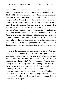Jesus taught that a tree is known by its fruits. "A good tree can not bring forth evil fruit, neither can a corrupt tree bring forth good fruit" (Matt. 7:18). ''Do men gather grapes of thorns, or figs of thistles? Even so every good tree bringeth forth good fruit; but a corrupt tree bringeth forth evil fruit" (Matt. 7:16, 17). This is too plain to be misunderstood. Native depravity is the cause of sinful deeds in men's lives. The ancient Pharisees tried to live a good, clean outward life without an inward change, as many try to do today. They try to "make clean the outside of the cup and of the platter, but within they are full of extortion and excess." Jesus said, "Thou blind Pharisee, cleanse first that which is within the cup and platter, that the outside of them may be clean" (Matt. 23:26). The sense is clear, man's inherent character determines his outward conduct. Also, as Paul taught, it is because of depravity that man cannot attain unto righteousness by the law. He does not have the power to obey the law.

It is on the assumption that man is depraved that the Scriptures teach, "Ye must be born again." If man is not depraved, then he requires no regeneration, but only forgiveness of committed sins. But the entire New Testament points to man's need of becoming "regenerated," "born again," "a new creature," "created anew," having "a new heart," being "quickened," putting on the "new man." These and many other expressions in the Bible are senseless if man is not depraved. The fact that he is, is assumed in all of them. Also, unless man is depraved there is no new birth or sanctification of his nature possible, and these are clearly taught by inspiration. The most vital facts in Christian experience are dependent upon the fact that the natural man is depraved.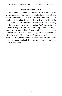### **Proofs from Reason**

Even without a Bible the common sense of mankind has rejected the theory that man is not a fallen being. The universal prevalence of sin is proof in itself that man is sinful by nature. No people, however cultured or civilized, have risen above the love for that which is evil and detrimental. A child learns evil more easily than he learns good. He will learn to profane God's name easier than he will learn to praise it. As we view the many ills of human life, we cannot believe that a kind Creator made man in his present condition, but that man is a fallen being, and not conditioned as originally created. Many other proofs may be given from both the Bible and reason, but we believe these are conclusive. Man is born in sin and can do good only by being made good at heart by the power of a new birth.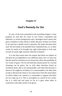## **Chapter IV**

## <span id="page-31-0"></span>**God's Remedy for Sin**

In view of the facts presented in the preceding chapter, it may properly be said that sin exists in two forms—committed and inherited, or actual transgression and a deranged moral nature that gives a tendency to that which is sinful. Because of these two forms of sin man has *a double need* in salvation. He needs salvation from each. He first needs to be justified from committed sins, or, in other words, he needs to be brought into right relationship to God; and, second, he needs right character effected in himself.

It is true that reason does not require that these two phases of salvation be accomplished at two different times, but it is also true that the need for salvation in two forms does allow the possibility of two works of grace. We do not hold that rational proof of a second cleansing can be given; but as with other doctrines based on revelation alone, this is not unreasonable, and when this doctrine is shown to be taught by revelation it is unreasonable to do other than accept it. Because the sinner is two steps down from the moral plane on which Adam was created, it is reasonable to suppose that there are two steps up to it. This is incomplete as a proof of two works, but it is valid and real proof so far as it goes when taken in connection with other proofs to be given.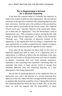## **Sin in Regenerated a Ground for a Second Cleansing**

It has been the common belief of Christians that depravity in some sense remains in believers after regeneration. The most devout Christians of the ages have testified to this remaining depravity after their conversion. And that such is the condition of the converted has also been held by practically all the church creeds. The Anglican Church creed says, "And this infection of the nature doth remain, yea in them that are regenerated." Also the Westminster Creed of Presbyterians says, "This corruption of nature, during this life, doth remain, in them that are regenerated." Dr. Miley in his Systematic Theology says, "That somewhat of depravity remains in the regenerate, or that regeneration does not bring to completeness the inner spiritual life, is a widely accepted doctrine. Indeed, exceptions are so few that the doctrine must be regarded as truly catholic."

Even when all due allowance has been made for the views of baptismal regeneration held by some, or of a degenerate form of regeneration, it is difficult to believe that the multitudes of the most godly men and women of the past and present were and are mistaken so entirely concerning their own inner spiritual experience. Especially is this reasoning from experience convincing when we remember that many of these persons testify to having been definitely delivered from this remaining depravity at a time subsequent to their being regenerated.

But the idea of remaining depravity in the regenerated does not necessarily carry with it the doctrine of a second cleansing from depravity in this life. Many who have strongly held the former have as emphatically denied the possibility of one's being delivered from this remaining depravity before the hour of death. But, on the other hand, we need not suppose that the impossibility of entire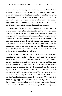sanctification is proved by the incompleteness or lack of it in regeneration. The proofs of the possibility of this second cleansing in this life will be given later, but let it be here remarked that Christ "gave himself for us, that he might redeem us from all iniquity," that we might be pure "even as he is pure." Therefore we reasonably suppose that this remaining depravity may be removed from us in this life, else Jesus' mission was not altogether a success.

But what are the proofs of sin in believers? First, it is worthy of note, as already stated, that it has been the experience of Christians generally. However, because some persons are more depraved than others, either because of inherited or acquired depravity, those more depraved will usually be more keenly aware of the presence of it than those not so greatly depraved, just as some notice a greater change in themselves than do others when depravity is removed. But though these facts of experience are very valuable as corroborative proof, yet experience of itself alone is not a proper source of doctrine, hence we shall go to the Bible.

We call attention first to John 15:1-6, where Jesus describes a cleansing or purging of those who have been converted under the figure of the purging of branches of a vine. A purging of believers implies something in them from which to be purged, and that must be a second cleansing, because all who have believed are already cleansed from committed sins. It will be noticed that the Father is represented as the husbandman, Christ the vine, and men (v. 6) or his disciples (v. 5) branches of the vine. They are said to be "in" Christ (v. 2), and "if any man be in Christ, he is a new creature" (2 Cor. 5:17), or has been regenerated. This is certain. They are not, as some wrongly suppose, merely justified and not regenerated. This is shown, not only because of the last-mentioned text, but also because to be in Christ is to be in his church or kingdom, which is possible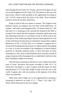only through the new birth, for "except a man be born again, he can not see the kingdom of God" (John 3:3). This person is also one who bears fruits, which is only possible to the regenerated according to Gal. 5:19-24. Sinners bear the fruits of the flesh. Those branches joined to Christ do not bear sinful fruit.

Purge as used in this text means to cleanse. The original word, *kathairo*, means, according to the very best Greek authorities, "to cleanse," and when used metaphorically, "to cleanse from sin." The idea that it is a cleansing of the outward life instead of the heart is wrong for the reason that the Scriptures constantly enjoin upon men this cleansing of the life; it is not done by God. It will be seen by the brief given in the following chapter that the cleansing done by God is that of the heart, but that men are exhorted to cleanse their conduct themselves (1 Pet. 1:14-16). Also it is a mistake to suppose this is an outward cleansing merely because it is represented by the purging of a vine. It is only an example of the inadequacy of natural figures perfectly to illustrate spiritual truths. If there had been an inner cleansing of a vine, Jesus would doubtless have used that instead of purge to represent this cleansing to be accomplished in believers that their fruitfulness might be increased.

That this inner cleansing is referred to is also evident from other parts of Jesus' discourse and prayer recorded in John 14-17, of which this vine figure is a part. It agrees with the prayer for their sanctification (17:17) that they might be kept from the evil of the world. It agrees also with the promise of the baptism of the Holy Ghost, the sanctifier.

Other texts which imply sin in the regenerated by teaching a cleansing of believers are John 17:17; 1 Thess. 5:23; Eph. 5:27. These will be discussed in the next chapter.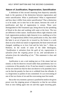#### **Nature of Justification, Regeneration, Sanctification**

A definition of this second cleansing from depravity naturally leads to the question of the distinction between regeneration and entire sanctification. What is justification? What is regeneration? and how does it differ from entire sanctification? That a distinction is to be made, not in time but in the nature, between the work of justification and that of regeneration is certain. These were distinguished in Old Testament type, being shown by the sprinkling of blood at the altar and washing with water at the laver. The two are different in their nature. Justification effects right relations with God; regeneration produces right character in us, enabling us to live right. "It [regeneration] differs from justification in this, that while the latter is an act of grace *for* or *toward us*, the former is a work done in us by which our nature is regenerated, the heart renewed and changed, enabling us to love God and his holy law."—Hoke on Holiness. In the words of some of the older theologians, *"Justification is salvation from the guilt of sin, regeneration is salvation from the reigning power of sin, and sanctification is salvation from the indwelling of sin."* This statement is clear and Scriptural.

Justification is not a real making just as if the sinner had not sinned, so that he deserves reward rather than punishment; but it is a remission of the penalty of sin. If one has sinned, it cannot be that he has not sinned nor that he does not deserve to be punished, but it can be that the penalty for that sin is withheld from the offender. It is a forgiveness or pardon of sins committed. It is an overcoming of one of the two forms of sin and the overcoming man first needs.

But at the very moment a person is justified he needs to be given power over the reigning power of depravity so that he can refrain from at once falling again into sin and thus again incurring guilt.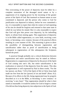This overcoming of the power of depravity must be either by a complete restoration of the deranged moral nature or by a suppression of its reigning power by the incoming of the greater power of the Spirit of God. But inasmuch as human nature as now constituted is depraved, and the person who comes to God for justification was depraved in infancy, before he ever committed a sin, it is reasonable to expect that when he comes to God repenting of his sins he should be forgiven and restored to that same state in which he was before he sinned. But it is also reasonable to expect that God will give him power over depravity, by his indwelling Spirit, to refrain from sinning again. This suppression of depravity is in the Bible called regeneration, or a new birth, receiving a new heart, or becoming a new creature, because of the practical effects resulting in a new manner of life. This reasoning is given to show the possibility of distinguishing between regeneration and sanctification rather than as proof of sanctification as being subsequent to regeneration—of this subsequence the Scriptures furnish the proof.

A practical though probably not a critical distinction between regeneration and entire sanctification may be stated as follows: Regeneration is a suppression of depravity by the power of the Spirit of God coming into one's life, but entire sanctification is the eradication or removal of that depravity from the nature. This idea of regeneration is well expressed by Paul in these words, "For the law [power, see Rom. 7:23] of the Spirit of life in Christ Jesus hath made me free from the law [power] of sin and death" (Rom. 8:2). Because of its effects in the life, being regenerated may be properly described as it is in the Bible, as becoming "a new creature," or receiving "a new heart." That regeneration should be what is here stated as reasonable. It would be useless for God to forgive a sinner if he did not thus bring depravity into subjection to the Spirit of God.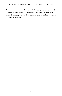We have already shown that, though depravity is suppressed, yet it exists in the regenerated. Therefore a subsequent cleansing from this depravity is real, Scriptural, reasonable, and according to normal Christian experience.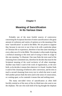# **Chapter V**

# **Meaning of Sanctification In Its Various Uses**

Probably one of the most fruitful sources of controversy concerning the Scriptural doctrine of entire sanctification is the great amount of confusion and variety of opinion as to the meaning of the term "sanctification" as used in the Bible. We are prone to suppose that, because in one text or use it has to do with a particular phase of Christian life or experience, therefore it has that same meaning in every other use of it in the Bible. The mistake is often made of giving a technical meaning to this term and of trying to limit its usage to this one meaning. To illustrate: One man finds the term used of the cleansing from committed sins, therefore he decides that must be the Scriptural meaning of the word exclusive of all other meanings. Another man finds it used of the work of regeneration, or the new birth, so he decides it means that wherever it is found. Another finds it used of the cleansing of believers after conversion, and he tries to teach a second cleansing from every text in which the term is used. Still another person finds the term used in the sense of consecration, or a setting apart, so he contends it means that and nothing more.

The many one-sided views of sanctification as often held forcibly remind us of the story of the six blind men who went to see the elephant. The one who took hold of his leg thought the elephant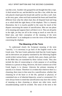was like a tree. Another who grasped his tail thought him like a rope. A third seized his ear, and decided he was like a fan; while the one who placed a hand upon his broad side said he was like a wall. And, as the story goes, when each had examined the beast and found him different from what the others had, they all disputed loud and long as to which held the right theory of the elephant. This is a homely illustration, but it is exactly parallel to the cause for much of the dispute concerning the nature of sanctification. Men see one phase of its meaning and suppose that is all there is to it. They are all partly in the right, yet they are all in the wrong as much as were the six blind men, and their conception of the meaning of the term "sanctification" is as inadequate as were the views of the blind men concerning the elephant.

### **The Meaning of the Term**

To understand clearly the Scriptural meaning of the term "sanctify," it is necessary to go back of the English word to the Greek term. The best Greek authorities hold that the Greek *hagios* and its derivatives are properly translated by the following English words in their various forms—sanctify, holy, pure, chaste, and clear. In the Bible they are translated by these various words. They also include the idea of consecrating to a holy purpose or of ascribing holiness to a person or thing. However, the more common use of the Greek *hagios* is to cleanse. Likewise the primary meaning of sanctify is to cleanse. Therefore it is evident that wherever there is a cleansing, there must in that sense be a sanctification, whether that cleansing be of the heart or of the life, spiritual or physical, of committed sins or of inherited depravity, actual or ceremonial. If it were always borne in mind that sanctification may have this variety of meaning as does cleansing or almost any other term, much misunderstanding could be avoided. The sense of the term or the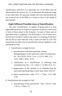sanctification referred to in a particular text of the Bible must be determined by the context, etc., as we determine the particular usage of any other term. We question whether the term sanctification has any technical use in the Bible as it seems to have in the minds of many people.

# **Eight Different Possible Uses of Sanctification**

The term "sanctification" is capable of being used in at least eight different senses in respect to experience or practice and is used in most of these senses in the Scriptures. In some of these uses an equivalent term is employed. The following is a list of these uses, the first four of which it will be seen refer to a cleansing of the heart and are always used when the work is said to be done by God. The second four are other uses of sanctification and are applied to work performed by man.

- I. Sanctification wrought by God.
	- 1. Sanctification of the heart generally without distinguishing as to the particular works of justification, etc., Acts 20:32; 26:18; 1 Cor. 1:2; 6:11; Heb. 2:11; 13:12; Jude 1; Rom. 15:16.
	- 2. Justification as a sanctification or cleansing from committed sins, Rev. 1:5; 1 John 1:7, 9; Heb. 9:14; 1:3.
	- 3. Regeneration, or the removal of or cleansing from the stony heart and the giving of a new heart, Ezek. 36:25-27.
	- 4. Entire sanctification, John 17:17; 1 Thess. 5:23; Eph.  $5.26$
- II. Sanctification not wrought by God.
	- 1. Sanctification of the outward life, 1 Pet. 1:14-16; 2 Tim. 2:19-21; 1 Thess. 4:7.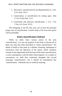- 2. Reverence, sanctification by ascribing holiness to, 1 Pet. 3:15; Num. 20:12.
- 3. Consecration, or sanctification by setting apart, John 17:19; 10:36; Deut. 5:12.
- 4. Ceremonial and physical sanctification, 1 Cor. 7:14; 1 Tim. 4:5; Exod. 19:23.

The foregoing, if not the only uses, are at least the principal proper uses of sanctification. Careful study of the texts here given will be profitable.

# **Entire Sanctification Defined**

While we allow these various senses of the term "sanctification," it is not our purpose in this book to discuss all of them, but only that often described as "entire sanctification." We define it briefly at this point as a definite cleansing, subsequent to conversion, from the depravity of the nature, which condition remains in the regenerated until the time of this entire sanctification, a work contemporary with the Holy Ghost baptism. As a matter of convenience we shall here commonly designate this second cleansing "sanctification"; but it should be remembered that "sanctification," ordinarily has no technical meaning.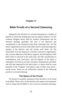## **Chapter VI**

# **Bible Proofs of a Second Cleansing**

Opposed to the doctrine of a second cleansing are a number of theories of which the leading ones may be stated as follows: (1) The common Pelagian theory held by modern Unitarianism and the Socinian theology generally that man is not depraved and consequently is not cleansed except from committed sins. (2) The theory supported by several of the older church creeds that depravity remains in the believer and will remain until death. (3) The Zinzendorf view that depravity is entirely removed in regeneration, and, as some adherents of the theory suppose, that the baptism of the Holy Ghost is received at the same time. (4) That sanctification is contemporary with conversion, and the baptism of the Spirit is subsequent. (5) That we are first converted, subsequently sanctified, and still later baptized by the Spirit (this is a theory held by some branches of the "tongues" movement; some of them even teach a fourth work). These are all sufficiently refuted in the following proofs of a second cleansing.

## **The Nature of the Proofs**

No formal or scientific statement of this doctrine is to be found in the Bible. Those critics of the doctrine who require such statement seem to forget that the Bible is not a work on systematic theology,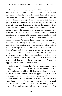and that no doctrine is so stated. The Bible reveals truth, not scientifically, but historically, and it might almost be said incidentally. To the objection that a formal statement of a second cleansing finds no place in church history from the early centuries until two hundred years ago, it may be answered that other vital spiritual truths were obscured during the apostasy only to be restored in recent years. An illustration of this is the doctrine of the charismatic organization and government of the church. It is also a mistake to oppose this doctrine on the ground that it is not required by reason that there be a double cleansing. Other vital truths of Christianity are not supported by rational proofs, examples of which are the doctrine of the Trinity, the resurrection of the body, and the general judgment. We accept these because they are taught by revelation. That tendency to reject all that may not be known by reason is the false position held by the destructive Bible critics in relation to the supernatural in the Bible. If the Bible is shown to be God's Word, then it is reasonable to accept what it teaches even though it is beyond human comprehension. It should be remembered, however, that since sanctification and the other doctrines mentioned are revealed, they are found to be according to reason though they cannot be known by reason alone. Reason even supports them in connection with the Bible.

Unfortunately for the doctrine of sanctification, some, in trying to support it with a multitude of texts, have used a number that have no application to the subject. This has resulted in some of those persons who found that these texts do not apply, falling into the error of rejecting the doctrine along with the erroneous proofs of it in spite of sound proofs. The best proof of this or any other doctrinal truth is not a large multitude of proofs, nor yet one seemingly clear proof, but a variety of kinds of proof. These we have in support of the doctrine of a second cleansing. At least six main classes of proofs of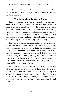this doctrine may be given, four of which are complete in themselves, and the remaining two though incomplete yet used with the others are strong.

## **Two Incomplete Classes of Proofs**

These two classes of proofs have already been considered somewhat in a preceding chapter. They are, first, the proofs of two forms of sin as a ground for two works of grace, and, second, remaining sin in the regenerated as a ground for a second cleansing. Though they are not complete proofs in themselves and need to be used with other proofs, yet they are valid as far as they go, and to many minds who from familiarity with the Scriptures are enabled readily to supply the missing links they are convincing.

The Scriptures clearly recognize sin in two forms, committed sin and inherited sin. Formal proof of these is scarcely necessary here. It is assumed that every believer in the Scriptures recognizes the actuality of committed sin. Inherited sin, or native depravity, is also quite generally recognized as Scriptural. Definite proofs of native depravity have already been given. Though it does not necessarily follow that these two forms of sin must be overcome in us at two different times, yet their existence does positively prove the *possibility* of two works of grace.

Remaining depravity in believers, which has already been sufficiently shown, is, to the minds of those who believe in the completeness of Christ's salvation, proof of a second cleansing. And when the Bible proof is given of a complete purifying of the heart in this life, it is conclusive; but without this proof it might be assumed, as is often done, that one may not be freed from depravity until death.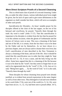# **More Direct Scripture Proofs of a Second Cleansing**

This is a third main class of proofs of a second cleansing. Under this, as under the other classes, various individual proof texts might be given, but for lack of space and to give more definiteness to the argument we shall consider but three, which will serve as examples of other such proofs.

*Sanctification for Disciples.*—In Jesus' notable prayer for his disciples offered at the close of the last supper, on the eve of his betrayal and crucifixion, he prayed, "Sanctify them through thy truth: thy word is truth" (John 17:17). That this sanctification is important to his disciples is evident from the fact that he prayed for it on this solemn occasion, when the gloom of Gethsemane and the horrors of Calvary were so near. This was a cleansing of the heart and not of the life, it is certain, from the fact that it was to be done by the Father and not by themselves. As we have shown in a previous chapter, men are always said to cleanse their own lives; but God's sanctification of men described in the New Testament is always a cleansing of the heart, and not of the life. Also it should be noted that this sanctification was in order that they might be 'kept from the evil' (v. 15). It was a cause, and the holy living was the effect. Some have argued that this is a cleansing of the life because it was to be done by the "word"; but they seem to forget that we are said to be regenerated also by the "word" (1 Pet. 1:23). Just as it is said, "Being born again, . . . by the word of God," so it is also said, "Sanctify them through thy truth."

These disciples for whose cleansing Jesus prayed were already justified, as is evident from several expressions in the same chapter as well as from other texts. They belonged to God and were obedient to his word (John 17:6), were not of the world (vs. 9, 14, 16), were kept from sin (vs. 11, 12, 15), had been sent to preach (Matt. 10:7),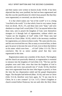and their names were written in heaven (Luke 10:20). It has been objected that they were justified, but had not been regenerated and that this was the sanctification for which Jesus prayed. But that they were regenerated, or converted, can also be shown.

It is that which makes one "not of the world" or it is a being "crucified to the world." It is that which, from its very nature, keeps from sin (Ezek. 36:25, 27), and these men were "kept," and were obedient to or kept God's word (John 17:6). Can anyone believe that these men, sent to preach the kingdom of God, were themselves strangers to it through lack of regeneration, without which one "cannot see the kingdom of God" (John 3:3)? These men had believed on Christ (Matt. 16:16), which is the necessary condition for regeneration, as is shown in these words, "He came unto his own, and his own received him not. But as many as received him, to them gave he power to become the sons of God, even to them that believe on his name: which were born . . . of God" (John 1:11-13). This is conclusive. But let us notice another proof that they were regenerated at this time.

Regeneration makes one a member of the church. The kingdom and the church are practically identical, so regeneration is essential to entrance into the kingdom of God (John 3:3). "The law and the prophets were until John: since that time the kingdom of God is preached, and every man presseth into it" (Luke 16:16), therefore men were regenerated from the time John began to preach, or from the time the law dispensation ended and the gospel dispensation began. The disciples had believed (Matt. 16:16), and were in Christ (John 15:2-4), therefore were born again, for "if any man be in Christ, he is a new creature" (2 Cor. 5:17). Christ's kingdom or church existed before Pentecost, but not until after the Holy Ghost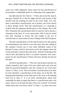came was it fully organized. Jesus' prayer for the sanctification of his disciples is undeniable proof of a cleansing of the regenerated.

*Sanctification for the Church.*—"Christ also loved the church, and gave himself for it; that he might sanctify and cleanse it [the church] with the washing of water by the word" (Eph. 5:25, 26). Here is described a sanctification, not of sinners, but of the church or those already saved. That this sanctification is a cleansing is evident from the argument already given in this chapter, that in the New Testament the sanctification done for man by God is always a cleansing of the heart. It is not consecration. Also it may be stated here that cleansing is always the end sought in the use of sanctification or consecration of men or things in the Old Testament.

That this sanctification is of the church and not for the purpose of constituting her the church is not only clear from the reading of the common version, but is even more definitely stated in the Revised Version, which is also borne out by the original where the Greek participle is used in the aorist tense. And this cleansing of the *church* here described by Paul is in perfect harmony with Jesus' prayer for the sanctification of those who have already become his *disciples*.

*An Entire Sanctification.*—"The very God of peace sanctify you wholly [entirely]; and I pray God your whole spirit and soul and body be preserved blameless unto the coming of our Lord Jesus Christ" (1 Thess. 5:23). This text teaches a sanctification to be done by God, therefore a sanctification of the heart, not of the life. The keeping them blameless in the latter part of the verse is the keeping from evil in John 17. It is an *entire* sanctification, which may reasonably be taken to imply that there is a sanctification that is not entire. Also it is to be done for those who were a church "in God the Father and in the Lord Jesus Christ" (1 Thess. 1:1), those who were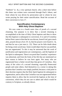"brethren" (v. 4), a very spiritual church, who a short time before this letter was written were converted through Paul's labors, and from whom he was driven by persecution and to whom he now wrote praying for their entire sanctification. Read the account of their conversion in Acts 17.

# **Sanctification Contemporary With Holy Ghost Baptism**

We now come to a fourth main class of proofs of a second cleansing. Our purpose is to show that a second cleansing is accomplished at the time of Holy Ghost baptism and then to show that this baptism is subsequent to conversion. It is said of Cornelius before Peter came to him that he was devout, feared God, gave much alms, prayed always (Acts 10: 2), that his prayers were heard (v. 4), and that he was a just man (v. 22). There can be little doubt about his being a truly saved man. Some would object that he was justified, but not regenerated. To this it may be answered that the work of justification and regeneration are contemporary, and the baptism of the Spirit is subsequent. There is no proof that Cornelius' experience was abnormal, and from the fruits of his life that are mentioned we have reason to believe he was born again. Not many who are regenerated have a better record than that given of Cornelius. Also many of the critics of a second cleansing, especially Pentecostal people and some others, find themselves in a corner in taking this position that Cornelius was simply justified, because a vital point in their doctrine requires that the Holy Spirit baptism be subsequent to regeneration, and to allow that Cornelius was not regenerated before requires them to allow that he received the baptism at the time of conversion, which they do not care to admit and which would be contrary to Scripture, as already shown.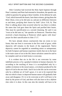After Cornelius had received the Holy Spirit baptism through Peter's ministry and Peter had returned to Jerusalem, the apostle was called in question for going to these Gentiles. In his defense he said, "God, which knoweth the hearts, bare them witness, giving them the Holy Ghost, even as he did unto us; and put no difference between us and them, *purifying their hearts* by faith" (Acts 15:8, 9). That Peter is talking about what occurred when he was there is evident. He states that God gave them the Spirit and purified their hearts. This must be sanctification as a second cleansing. He said it was "even as he did unto us," the apostles on Pentecost. Therefore they received a heart-cleansing at Pentecost which agrees with Jesus' prayer for their sanctification in John 17:17.

We have already shown conclusively that sin exists in two forms; that one form is overcome in the first work of grace, while depravity still remains in the hearts of the regenerated. Native depravity cannot be regarded as something minor or unimportant; for both Scripture and human experience testify that sin in the heart is the main cause of sin in the life, hence salvation cannot be said to be complete until sin in both forms is overcome.

It is evident that sin in the life is not overcome by some indefinite process or by a gradual evolution in human character; for according to the teaching of Jesus it is accomplished only by a sudden revolution in the moral nature, a revolution produced by the Spirit of God in the new birth. And if sin in the life can be overcome only by a definite act of God's grace, it is not to be expected that that sin which is basic in depraved human nature will gradually fade away and disappear. If it is to be overcome at all it will have to be done by the power of God, and there will also have to be *a definite time when it is done*. In this case also the remedy will have to be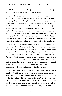equal to the disease, and nothing short of a definite, sin-killing act of God's grace can dispose of this inward malady.

Since it is a fact, as already shown, that native depravity does remain in the heart of the converted, a subsequent cleansing is necessary. There is no Scripture proof of any time or place where depravity is removed except at the time of the baptism of the Holy Spirit. Since receiving Christ in the first work of grace has a negative phase, deliverance from the guilt and power of sins committed, as well as the introduction of a new life in Jesus—thus disposing of one form of sin—it is only reasonable to suppose that the personal coming of the Spirit to the individual believer will also have its negative result, disposing of the second form of sin, as a necessary preparation for the indwelling and special work of the Comforter.

The Scripture text already cited, Acts 15:8, 9, identifies heartcleansing with the baptism of the Spirit, hence the Spirit baptism provides a definite remedy for a very definite need. To this agrees also the words of Paul in Titus 3:5, 6, where the apostle affirms that Christ "*saved us*, by the washing of regeneration, and *renewing of the Holy Ghost*; which he shed on us abundantly." Salvation is therefore twofold, because there is a twofold need, occasioned by the two forms of sin. It is not complete until the baptism of the Spirit is received. In Matt. 3:11, 12, Jesus also associates a purging, destructive work with the baptism of the Holy Ghost.

This also agrees with the Old Testament types. The coming of the Holy Spirit is described as being an anointing. The anointing of Aaron and his sons for the priesthood was typical of this anointing of the Holy Ghost which prepares us for God's service today. And it is remarkable that after the sin-offering was offered, the oil with which those ancient priests were anointed was mingled with the blood of a second offering from the altar and sprinkled upon them,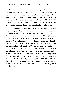thus beautifully typifying a cleansing from depravity at the time of the Holy Ghost anointing (see Exod. 29:21, 22). Also it is worthy of mention here that the coming of God's presence always hallows (Lev. 22:32; 1 Kings 9:3), but cleansing always precedes and prepares for God's presence (see Exod. 19:10, 11; 29:1, 21). Whether or not critics are pleased to allow that Rom. 15:16 teaches it, yet the fact remains that we are "sanctified by the Holy Ghost."

Many examples of the Holy Ghost baptism after conversion might be given. We have already shown that the apostles and Cornelius were first converted then received the Spirit. The Samaritans were converted under the ministry of Philip (Acts 8: 8, 12), and later, at least some days, received the Holy Ghost at the hands of Peter and John (vs. 15, 16). The Ephesians were disciples and had believed (Acts 19:1, 2), and when Paul came to them later they received the Holy Spirit (v. 6). Paul was converted on the road to Damascus and was there called to preach (Acts 26:18), prayed (Acts 9:11), was the chosen vessel (v. 15), and was addressed by Ananias as brother (v. 17), after which he received the Holy Spirit. We have now given briefly a few of each of the four classes of proofs of a second cleansing in this chapter. In our next chapter we shall set forth one of a much different nature, and this very variety of proofs, as has been mentioned, constitutes the strongest proof of any doctrine.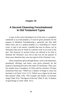## **Chapter VII**

# **A Second Cleansing Foreshadowed In Old Testament Types**

A type, in the correct theological use of the term, is a prophetic similitude or an acted prophecy. It must be given primarily for the purpose of definitely foreshadowing a particular fact that shall follow later, just as a spoken prophecy is a foretelling of a future event. A type is not merely a parallel that may be shown, nor an illustration that may be found of a present event in an event of the past. The footraces of ancient Greece are referred to by Paul to illustrate the Christian's race, but as that was not the purpose of those races, therefore they were not typical of the Christian's race.

Those institutions given through Moses, such as the tabernacle, priesthood, offerings, and feasts, were given primarily for the purpose of pointing forward to the truths of Christianity. They were but another form of prophecy of Christ and his salvation. Of these institutions Paul says: "Which are a shadow of things to come; but the body is of Christ" (Col. 2:17); "Which was a figure for the time then present" (Heb. 9:9); "The example and shadow of heavenly things" (Heb. 8:5); "The figures of the true" (Heb. 9: 24); "A shadow of good things to come" (Heb. 10:1).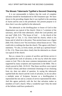## **The Mosaic Tabernacle Typified a Second Cleansing**

It is not unreasonable to believe that the work of complete salvation should be foreshadowed in Old Testament type. We have shown in the preceding chapter that it was typified in the anointing of Aaron and his sons to the priesthood. Our present purpose is to show that it was also typified in the tabernacle.

The tabernacle as the dwelling-place or house of God in that dispensation was typical of the church. Christ is "a minister of the sanctuary, and of the time tabernacle, which the Lord pitched, and not man" (Heb. 8:2). "The house of God . . . is the church of the living God" (1 Tim. 3: 15). Christ built his church, which is his house and of which he is the priest. That ancient house was a figure (Heb. 9:9). Christ is over "his own house; whose house are we." This could refer to nothing else than the church. This agrees with Peter's statement, "Ye also, as lively stones, are built up a spiritual house" (1 Pet. 2:5). These texts show clearly that the tabernacle as a house was typical of the church.

But as a means for a system of sacrifice and divine service it also typified the work of salvation, or the way by which the sinner comes to God. This is the more common interpretation and is well supported by many scriptures and expressions in the Bible. This is clearly proved in Heb. 10:19-22. That those sacrifices were typical of Christ's blood, and those ceremonial cleansings of our cleansing from sin, does not admit of question. In saying the tabernacle typified both the church and the work of salvation, we do not allow a multiple sense of Scripture, because as a dwelling-place it represented the one and as a means of service represented the other. And this agrees perfectly with the fact that salvation makes us members of God's church. What a wonderful type! Only the mind of the Infinite could have produced it.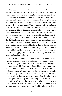The tabernacle was divided into two rooms, called the holy place and the holiest place. At the entrance of each of these two places was a veil. Two altars were placed one before each of these veils. Blood was sprinkled upon each of these altars. What could be more perfectly typified by these two rooms, two veils, two altars, two sprinklings of blood, than the fact that there are two cleansings in the work of one's salvation? Outside the first veil was the brazen altar and the laver. On this altar the blood of the offerings for sin was sprinkled. This sprinkling is generally allowed to be typical of justification from committed sin (Heb. 9:13, 14). At the laver they washed before entering the house of God. This has been generally and rightly understood as being typical of regeneration (Titus 3:5). But the blood of sin-offerings for the priests was also to be sprinkled on the golden altar inside the first room, before the second veil. Of what was this typical? Christ's blood was shed to cleanse from sin. If that blood typical of Christ's blood when sprinkled on the brazen altar typified justification, what must the sprinkling of it on the golden altar typify but the second cleansing or the entire sanctification of the believer?

This is clearly taught also in Heb. 10:19-22: "Having therefore, brethren, boldness to enter into the holiest by the blood of Jesus, by a new and living way, which he hath consecrated for us, through the veil, that is to say, his flesh; and having an high priest over the house of God; let us draw near with a true heart in full assurance of faith, having our hearts sprinkled from an evil conscience, and our bodies washed with pure water." Here the exhortation is to "brethren," those already justified and regenerated, to go "into the holiest" from the holy place where they then were. They were to enter it "by the blood of Jesus," by which believers have their hearts sprinkled from an evil conscience (justified at brazen altar), and their bodies washed with pure water (regenerated at the laver), which admitted to the first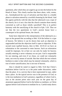apartment, after which they are urged to go on into the holiest by the blood of Jesus. This clearly teaches that these altars, veils, rooms, etc., foreshadowed the way of salvation and that there is a double phase to salvation entered by a twofold cleansing by the blood. And this agrees perfectly with the idea that the tabernacle was a type of the church, for is it not a fact that the church contains those merely converted as well as those wholly sanctified? This is in perfect harmony with the sanctifying of the church in Eph. 5:26. Thus we see that the two apartments in God's ancient house have a counterpart in his spiritual house, the church.

Some have objected to this interpretation of the tabernacle as a type on the ground that according to Heb. 9:24 the holiest is a type of heaven. We believe it can be shown that such an objection is ungrounded and that the objection itself is open to objection. If this second room typified heaven, then in Heb. 10:19-22 we have an exhortation to the converted to enter heaven. Such an exhortation would be improper, for at best we can only be ready for heaven; actually entering is never voluntary on our part. God is responsible for our entering, and even if we chose, we could not voluntarily enter, not even by means of suicide. But that which the text exhorts brethren to enter is that which may be entered voluntarily, which is true of entire sanctification, but is not true of heaven.

Also it should be noted in regard to Heb. 9:24 that Christ's mediation before God for us is the point under discussion, rather than the place. It is a service that is here represented in type, rather than a place. As the typical service was in the presence of God, so is the true mediation in God's presence, regardless of where God is. Just as the ancient priest once each year on the great day of atonement appeared before God in the holiest as mediator, so Christ appears before God in heaven to mediate for us. Careful study shows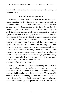that the text under consideration has no bearing on the antitype of the holiest place.

# **Corroborative Argument**

We have now considered five distinct classes of proofs of a second cleansing: (1) Two forms of sin, which we allowed was incomplete in itself. (2) Sin in the regenerated. (3) Sanctification for the converted. (4) Sanctification by the Holy Ghost. (5) Old Testament types. To these may be added another line of argument which though not positive proof, yet is corroborative—that of experience. Experience is not a proper source of doctrine, but as a corroborative of Scripture teaching it is unanswerable. It is a fact that Christians generally have testified to the existence of native depravity after conversion. Also many of the most devout and learned have testified to a removal of that depravity after conversion, by a second cleansing. This cannot be gainsaid. It is true that some have noticed these things more than others in their experience, just as some notice a greater change in conversion than do others. This, difference, is due to the varying degrees of depravity in different persons. In view of these many proofs of several kinds, which as we have said constitute the best kind of proof, we confidently affirm a second cleansing.

We allow that there are difficulties in holding this doctrine as there are also in every other doctrine, but the least that can be said of it is that it is easier and more reasonable to hold it than to neglect or refuse to hold it, and we must do one or the other. The reason with some for weakness in holding the doctrine is not because the doctrine is not well supported or is unreasonable, but rather because of their lack of knowledge of the proofs and nature of sanctification.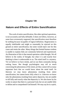## **Chapter VIII**

# **Nature and Effects of Entire Sanctification**

The work of entire sanctification, like other spiritual operations, is not accurately and fully definable. It does not follow, however, as some have erroneously supposed, that sanctification must therefore be nothing because incapable of logical definition. Regeneration is equally indefinable and might as reasonably be rejected on this ground as entire sanctification, but some would reject one for this cause and retain the other. Many things that limited human wisdom is unable to explain fully are commonly believed and experienced. An illustration of this is that mental operation called thought. We all believe in the reality of thought, but what it is and exactly how thinking is done is unknowable to us. The mind itself is a mystery. Yet we believe we have minds, and we use them constantly during waking hours. But though psychologists may tell us much concerning the phenomena of the mind, yet they cannot tell us many important facts that we would know about the mind itself. So likewise we may know phenomena resulting from entire sanctification, but cannot know fully what it is. Likewise we know only the phenomena resulting from native depravity, but are unable to tell fully and exactly what that depravity is. We also know by his works in nature that there is a personal God, but we are unable fully to define and to comprehend God himself. We may say he is a spirit,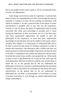but we are unable to know what a spirit is. All we can naturally know of God is his phenomena.

Some things can be known only by experience. A person born blind can have no comprehension of color, even though one may try earnestly to explain it to him. He has nothing in experience with which to compare it. So also a practical idea of the nature of entire sanctification is possible only to one who has the experience. Exactly so, one can know the nature of regeneration only by being converted. But while such knowledge is possible only to those having the experience in their own hearts, yet it is a fact that many who have experienced regeneration are unable to give the philosophy of the experience; so some may have experimental knowledge of sanctification and yet be unable to tell exactly what it includes. But, happily, it is unnecessary to understand fully and to be able to reason out the nature of Christian experience in order to possess the experience. One desiring to take a trolley-ride does not need to possess a technical knowledge of electricity nor does he need to be able to comprehend and explain the intricacies and processes by which the current from a trolley-wire propels the car. All he needs to know is how to get aboard the car, to pay his fare, and to get off at his destination. But how foolish he would be who would refuse to board the car on the ground that he did not understand the philosophy of electricity, and who would demand that the motorman explain it fully to him before he would get on! But those who reject sanctification on the ground that we do not understand its philosophy are, we think, as unreasonable. Is it not better to accept it because God offers it, even though we cannot understand some things concerning it?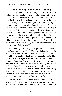## **The Philosophy of the Second Cleansing**

In the very nature of the case it is impossible that a cleansing of the heart subsequent to justification could be a cleansing from those sins which are already forgiven. Therefore we believe it must be a cleansing from that depravity in the nature which, as we showed in a former chapter, exists in the regenerated. This cleansing we understand is really a restoration of that derangement of the moral nature which resulted from Adam's sin and which is inherited by all his posterity. It is simply an undoing of the perversion of man's nature. It should be understood that depravity is not a root, a stump, a germ, nor any other physical entity, but a change in man's nature. The difference between a depraved person and Adam before the fall is like the difference between the lion and the lamb. The fact that the lion is ferocious and the lamb gentle is due to the very nature of them, and is not fully explainable.

This depravity is especially a derangement of two faculties the affections and the will. It manifests itself in inordinate love for *things*—for the creature rather than the Creator; it causes one to love that which is harmful and sinful; it causes him to love sinful things and hate God and right. It weakens the will; even though the unconverted one controlled by depravity may desire to do good, he finds himself unable to do so. The effects of depravity are described by Paul in Rom. 7:14-25. Depravity gives a tendency to sin by the exaggeration of temptations from the natural. The second cleansing by a restoration from depravity overcomes that tendency to sin. Through depravity those natural qualities and desires which God placed in man are perverted until they become sinful.

God created man with a natural pride which we know as selfrespect, which causes one to seek to be agreeable and pleasing to his fellows. But depravity causes him to want to be not only well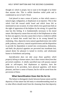thought of, which is proper, but to want to be thought of as better than anyone else. This is selfish therefore sinful pride and is condemned as sin in God's Word.

God placed in man a sense of justice, or that which causes a natural anger, indignation, or displeasure at an injustice. This is that which God felt toward sinful Israel and which Jesus felt as mentioned on one occasion. It is that which every good man feels at the sight of oppression of the helpless by the strong. It is good that man has this feeling. It is fundamentally necessary to his moral nature. But depravity causes him not only to feel displeasure at what he does not approve, but also causes him to have a vindictive selfish anger or hatred that would lead him to do wrong himself by retaliating. Also, depravity turns natural approbativeness into sinful pride, jealousy, and envy; natural acquisitiveness and the disposition to provide for dependents is turned into covetousness, dishonesty, and theft; the physical appetites are perverted into inordinate lust; natural desire for pleasure is turned to revelry; and wholesome humor to foolishness and jesting.

*Sanctification does not take away those qualities which properly belong to human nature, but it does restore them from that perverted condition*. A wholly sanctified man will possess natural pride or self-respect, feel displeasure at injustice, have the disposition to be provident, have physical appetites, will desire pleasure, and have a sense of humor; but he will be saved from the perversion of these.

## **What Sanctification Does Not Do for Us**

The failure to distinguish clearly between human nature and the depravity of that nature has led many to misunderstanding much as to what effects should result from the cleansing from that depravity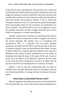in the work of entire sanctification. It has caused some to claim for sanctification that which it does not provide, and because some who sought the experience failed to obtain that which they had been told sanctification would do for them, they have often been led either to reject the doctrine and experience entirely or else to doubt their having the experience and, as a result, become greatly discouraged. Such unreasonable claims for the experience of sanctification are always harmful. The harmful effects may not be apparent at once; but possibly years after, one thus wrongly instructed may be led to doubt his experience or to reject sanctification.

Another common error of teachers of sanctification has been to minimize the work of conversion in order to magnify more that of the second cleansing. Still another error is in preaching what sanctification does in a particular life—to preach personal experience and imply that the effects must be the same in all lives. As already explained, some are more depraved than others, because of either inherited or acquired depravity, therefore there must be a difference in the effects of entire sanctification; for the effects of cleansing from depravity must, in the nature of the case, be just as varied as are the effects of the depravity. Likewise, because some do not notice the effects of depravity so much as do others, they do not notice the effects of cleansing from it so much as do others.

Briefly, it may be said that sanctification does not make us infallible, does not make absolutely perfect in all respects, does not save from the possibility of sinning, and does not destroy the human nature.

## **How Does a Sanctified Person Feel?**

Physical appetites and desires still remain in the sanctified for the reason that they are a part of the human nature and depravity is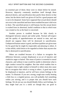no essential part of them; these were in Adam before he sinned. However, depravity commonly manifests itself through these physical desires, and sanctification does purify these desires in that sense; but the desire itself was given of God for a good purpose and is not to be despised. Some have supposed that sexual desire should not exist in the sanctified and have been troubled because it did exist in them. The sanctified person is still human; but this sexual desire is exalted from its abnormal, lustful condition to that in which man was created so far as the heart is concerned.

Another person is troubled because he fails clearly to distinguish between natural and sinful pride. Normal self-respect and the quality of approbativeness are natural to man, and one should not suppose these will be destroyed in sanctification. Undepraved human nature is good, and these qualities are given man for his good that he might be respectable and pleasing to others. It is that selfish, sinful desire to be regarded as better than anyone else that is destroyed in sanctification.

Others are troubled because of a failure to recognize the difference between a proper displeasure at an act of injustice and vindictive anger or hatred. This sense of justice is essential to moral character, and without it man would be unable to determine what is right conduct toward his neighbor. But that which enables him to recognize what is right conduct in himself or others must also cause him to recognize that which is wrong in others. A good man must be displeased at injustice, and he will have certain feelings in the matter. To illustrate: If you see a strong, rough man cruelly beating a little boy or a crippled person, you will probably feel something within you stirring, and it is proper that you should have such feelings. We do not say you should blindly follow such feelings, for they might lead you to a sinful act though they are good in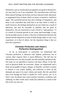themselves, just as certain physical appetites are good in themselves, yet may lead to sin if not controlled. The sanctified man will have these natural feelings, but he does not have that perverted, abnormal, or augmented form of them which we know as hatred or vindictive anger. The sanctified person may have feelings of impatience, and these if not controlled may lead him to do that which is sinful in itself; however, the feelings themselves are not sinful nor a result of depravity, but may be traceable to qualities that are good in themselves. We are instructed in God's Word to "add patience." It is a result of Christian growth as are virtue and knowledge. It may not be possible always to draw a fine line of distinction between the natural and the depraved in some of these things either in one's own experience or in that of others, but the important thing is that we have the experience.

## **Christian Perfection and Adam's Perfection Distinguished**

As far as heart-purity is concerned, we understand that Christian perfection is identical with Adamic perfection; but in various other respects there is much difference. The fall into sin affected the race, not only morally, but also mentally and physically. Not until we are glorified in heaven will these effects of the fall, such as physical death, be overcome. Adam, we understand, had a body not incapable of injury, fatigue, or disorder, yet there is reason to believe it was sound, healthy, and sufficient to meet all the demands put upon it by man's duties and needs. But the sanctified man even though his body is healed by God's power, yet, as in Paul's case, his duties may cause extreme weariness, weakness, and suffering. In other words man's body has suffered as a result of the fall of the race into sin.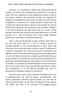Likewise, it is reasonable to believe that Adam possessed an intellect, not perfect, but so balanced and sufficient as to meet his needs. But how inadequate are the intellectual faculties of man in his present condition! His perceptive faculties are impaired, his judgment is enfeebled, the memory fails to perform its work, and the imagination is weakened. It is hardly possible to think that God created man without the mental capacity to do properly the work he should do. Evidently the fall has affected man's intellect. Though it is true that heart-purity and right living may by a course of long training overcome these physical and mental deficiencies in a small measure, yet it must be allowed that in these things Christian perfection is vastly below the Adamic perfection.

Also, it must be allowed that in many qualities which have to do with the moral there is a lack of balance through an underdevelopment or an over-development of those brain cells which have to do with that faculty of man's nature. To illustrate: If a person's foreparents have been much given to foolishness and lightness, and if he himself has during many years freely given place to it, he will likely find after he is wholly sanctified that he has an undue tendency to the humorous and must watch continually lest it hinder his spiritual development. Heart-purity is not the remedy for his trouble. It is caused by an overdevelopment of certain brain cells. Just as it has taken many years and possibly generations to effect this development, so it will likewise probably take years or generations of training in sobriety to overcome it.

Likewise, there may be a lack of balance developed in this way in approbativeness, the sense of justice, acquisitiveness, selfrespect, pessimism, optimism, physical desires, etc. One may be fully sanctified in heart, yet the effects of depravity in the physical and mental may have to be overcome and struggled against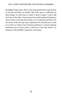throughout many years. This is why some persons have special trials in one line and others in another. But God's grace is sufficient for these things. It is here that we need to "grow in grace," and to add the fruits of the Spirit. Some persons by careful spiritual living have done much to overcome these faults, as we commonly call them. We are aware of the fact that some enthusiasts for sanctification would try to have us believe that Christian perfection is almost absolute perfection; but we have tried to claim for it only that which is in harmony with the Bible, experience, and reason.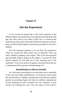# **Chapter IX**

# **Get the Experience**

It can scarcely be hoped that in this brief treatment of the difficult subject of sanctification every question has been dealt with that may have come to the reader's mind; but it is believed that sufficient has been said to show that the blessed experience of heartpurity and Holy Spirit baptism is graciously provided for all God's children.

Now the important question is, do you have the experience? "Have ye received the Holy Ghost since ye believed?" This was Paul's method of getting at the subject. This is the most practical and profitable thing in relation to the subject. If you get the Holy Spirit's baptism, he will take care of the cleansing part of the experience. You do not need to be greatly concerned about that nor to understand all the mysteries and philosophy of it.

## **Sanctification Is Not by Growth**

As a first step in showing how one may know one is sanctified, or how one may obtain sanctification, it is necessary to give proof that sanctification is a definite, instantaneous work and not a gradual growth. In preceding chapters the idea of a definite, instantaneous second cleansing has been assumed. We now endeavor to give reasons for holding that view. The very nature of the work of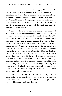sanctification, as we have set it forth, is opposed to the idea of a gradual cleansing. The growth theory is more in harmony with the idea of sanctification of the life than of the heart, and is usually held by those who define sanctification as being merely a purifying of the life. We readily allow that the purifying of the life in the sense of growth in grace is a gradual process, but we also allow and hold that there is an instantaneous cleansing of the heart from depravity subsequent to regeneration.

A change of the nature is more than a mere development of it. A lion may be tamed, but this does not change his nature. The sight or smell of blood may awaken all the ferocity of his nature. The sanctification under discussion is not a mere suppression, but an eradication of the depravity of man's nature. It is accomplished by the blood of Christ as is regeneration, and regeneration is not a gradual growth. A definite work is implied in the cleansing or "purging" of John 15 and also in the typical entrance to the holiest place by the blood of Jesus as described in Heb. 10:19-22. The Bible describes some as having been already sanctified. It is worthy of remark that those who hold the growth theory and confuse the cleansing of the heart with growth in grace never seem to get sanctified; and they cannot, because no man ever reached the limits of growth in grace. "We do not say that God might not sanctify from depravity gradually; but it seems clear that such is not taught in the Scriptures, and we prefer teaching what is taught in God's Word rather than what is not taught there.

Also it is a noteworthy fact that those who testify to having really attained to the experience say they obtained it as a definite, instantaneous work of God in the heart. The following statements are from able exponents of sanctification.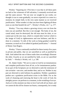Wesley: "Inquiring (in 1761) how it was that in all these parts we had so few witnesses of full salvation, I constantly received one and the same answer: 'We see now we sought by our works; we thought it was to come gradually; we never expected it to come in a moment, by simple faith, in the very same manner as we received justification.' What wonder is it that you have been fighting all these years as one that beateth the air?"—Wesley's Works, vol. 7, p. 377.

Wesley: "You may obtain a growing victory over sin from the time you are justified. But this is not enough. The body of sin, the carnal mind, must be destroyed; the old man must be slain, or we cannot put on the new man, which is created after God (or which is the image of God) in righteousness and true holiness; and this is done in a moment. To talk of the work as being gradual would be nonsense, as much as if we talked of gradual justification."—Journal of Hester Ann Rogers.

Wesley: "I have continually testified for these twenty-five years in private and public, that we are sanctified as well as justified by faith. And indeed the one of these truths does exceedingly illustrate the other. Exactly as we are justified by faith, so are we sanctified by faith." —Wesley's Works, vol. 1, p. 338.

Dr. Adam Clarke: "We are to come to God for an instantaneous and complete purification from all sin, as for instantaneous pardon. In no part of the Scriptures are we directed to seek the remission of sins *seriatim*—one now, and another then, and so on. Neither in any part are directed to seek holiness by gradation. Neither a gradation pardon nor a gradation purification exists in the Bible. For as the work of cleansing and renewing the heart is the work of God, his almighty power can perform in a moment, in the twinkling of an eye. And as it is this moment our duty to love God with all our heart, and we cannot do this till he cleanse our hearts, consequently, he is ready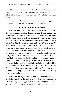to do it this moment, because he wills that we should in this moment love him. . . . This moment, therefore, we may be emptied of sin, filled with holiness, and become truly happy."— Clarke's Theology, p. 208.

Bishop Foster: "Sanctification is… instantaneous, in opposition to the idea of growth gradually to maturity or ripeness."

## **Conditions for Sanctification**

That sanctification is obtainable in this life has been sufficiently shown in foregoing chapters. The importance of the experience has also been shown. How is the experience obtained? The conditions may be stated briefly as follows: The apostles received it by prayer (Acts 2). The Samaritans and Ephesians by prayer and laying on of hands (Acts 8:15, 17; 19:6). It is received by faith (Acts 15:9; 26:18). In the very nature of the case, however, a dedication of ourselves is necessary to this cleansing and infilling of the Spirit as in the sanctification described in the Old Testament. This should not be understood to be a dying to sin and the world, for that is necessary to regeneration. It is rather a dedication to God for service, and is beautifully illustrated by the dedication of Solomon's temple in ancient times to be a dwelling-place for God. When built it was in one sense God's; but after it was finished, Solomon dedicated it to God's special service and invited him in. Then it was filled with God's glory. So when we dedicate ourselves to God's service to be a temple of the Holy Ghost, he comes into our hearts in sanctifying power as an abiding comforter.

We should not regard sanctification, as is too often done, as a wonderful experience that only a favored few may obtain, or that can be had only after long years of praying and struggling. It is to be received by faith in answer to prayer and is for everyone, even the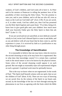weakest, of God's children, and God wants all to have it. As Peter said in his sermon at Pentecost in telling the penitent Jews of the possibility of their receiving the Holy Ghost, "For the promise is unto you, and to your children, and to all that are afar off, even as many as the Lord our God shall call" (Acts 2:39). If you are saved, or if, in other words, God has called you, then God has promised you the Holy Spirit baptism and a pure heart. "If ye then, being evil, know how to give good gifts unto your children: how much more shall your heavenly Father give the Holy Spirit to them that ask him?" (Luke 11: 13).

If you are saved and not yet sanctified, at once dedicate yourself wholly to God, invite God's blessed Spirit to come in and abide, and as you ask believe with all your heart that he does come in, and the experience is yours. It is received by faith as is justification or any other thing through prayer.

## **The Knowledge of Sanctification**

It is reasonable to believe that one may know when he receives the second cleansing as truly as he may know he is regenerated. But in what does that knowledge consist? It is certain that a spiritual work in the moral nature is not to be known by the physical senses. Some critics of the second cleansing would oppose it on such ground. But one might as reasonably reject all experimental religion on such a ground. A spiritual work must be spiritually known.

This is the way we know when we are regenerated. In the words of Paul, "The Spirit itself beareth witness with our spirit, that we are the children of God" (Rom. 8:16). There are two ways of knowing we are saved; first, by the witness of the Spirit in our hearts and, second, by the knowledge of the fact we have through noticing the phenomena in our lives as agreeing with the fruits which the Bible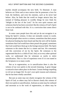teaches should accompany the new birth. To illustrate: A man believes on Christ and at once notices that he possesses a love for God, the brethren, and even his enemies, such as he never had before. Also, he finds that the world no longer attracts him, but instead of finding pleasure in worldly things he now finds his "delight in the law of the Lord." So his own spirit reasons and witnesses that he has been converted. But the witness of God's Spirit is not to be confused with this. It is a conviction that comes direct from God.

In some cases people have this and yet do not recognize it as being the Spirit's witness. It does not normally consist in words. Spiritual people often receive a witness, sometimes that their prayer for physical healing has been heard and that the sick will be healed, sometimes that God would have them preach the gospel, sometimes that God would have them go to the foreign mission field. The Spirit witnesses to the sinner that he is a sinner and lost. We commonly call this conviction of sin by the Spirit. He witnesses to the regenerated that he is a child of God. And, as in every other spiritual work, we understand that he witnesses as surely to entire sanctification. This is a fact of experience even if it is not stated in the Scriptures in so many words.

But as in regeneration, so in sanctification there is also the witness of our own spirits to the second cleansing. A great change is noticed to have taken place in the heart. Certain feelings impelling to evil are no longer felt. So one's own spirit reasons and witnesses that he has been wholly sanctified.

But just as some may not clearly recognize the witness of the Spirit of God, so others may fail to discern clearly this witness of their own spirits to sanctification. And just as some may be confused and uncertain as to the work of regeneration, so others may be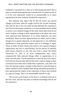## HOLY SPIRIT BAPTISM AND THE SECOND CLEANSING

confused or uncertain for a time as to their being sanctified. But to reject a second cleansing because someone fails of certain proofs of it in his own experience would be as unreasonable as to reject regeneration because someone doubted his experience.

But someone may object that he did not notice any special change in his heart when he sought God for the second cleansing. This may be due to his not really having obtained the experience; but if he met the proper conditions, it is more probable that he failed to notice a very marked change for the same reason that some do not notice so great a change in their regeneration as do others who were more depraved than themselves or in whom depravity was more manifested. Some are more depraved than are others; and in others, though not so greatly depraved, yet the depravity is very definitely manifested in some particular respect such as in feelings of anger. Those of either of these classes may notice a very special change in regeneration and also in sanctification, but the person of naturally good moral character or one who has lived a moral life before conversion or who is of even temperament may notice comparatively little outward change either in regeneration or in entire sanctification. Yet the experience is none the less real to them. Such persons because they did not feel such a radical change in their conversion have been led to doubt their experience, and some who have not noticed so great a change in their hearts in sanctification as others testified to have doubted their being sanctified personally or have questioned the reality of the experience of those who testified to a special change. This is an unreasonable attitude to take.

The second work of grace in the heart is as definite and real as the first work, and one may have as definite knowledge that he has the experience.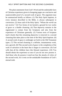## HOLY SPIRIT BAPTISM AND THE SECOND CLEANSING

The plain statements from God's Word and the undeniable facts of Christian experience given in foregoing pages are conclusive and unanswerable proof of a second work of grace. The argument may be summarized briefly as follows: (1) The Holy Spirit baptism, in every instance described in the Bible, is always subsequent to conversion. (2) Jesus said of the Holy Spirit, "Whom the *world* can not receive." (3) Two forms of sin furnish a ground for two works of grace or a double cleansing. (4) That depravity remains in the regenerated is certain from the Scriptures and also from the experience of Christians generally. (5) Various texts of Scripture teach clearly that this remaining depravity is removed in a second cleansing that takes place at the time of the Holy Spirit baptism. (6) A second work of grace is strikingly set forth in the Old Testament types. (7) This second cleansing is a definite, instantaneous work, not a growth. (8) This second work of grace is the completion of the work of salvation in the heart that is begun in conversion. (9) God wills that all his children have this blessed experience. (10) You should obtain the experience at once if you do not now possess it. And those who do possess it need not fear the attacks of critics of the second work, for it rests on the unshakable foundation of God's eternal truth.